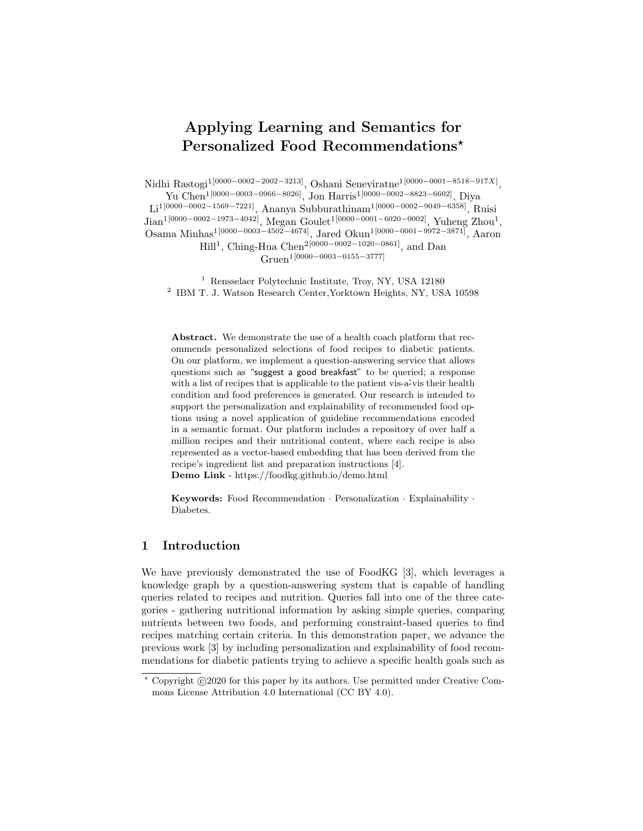# Applying Learning and Semantics for Personalized Food Recommendations\*

Nidhi Rastogi<sup>1[0000–0002–2002–3213]</sup>, Oshani Seneviratne<sup>1[0000–0001–8518–917X]</sup>,

Yu Chen1[0000−0003−0966−8026], Jon Harris1[0000−0002−8823−6602], Diya Li<sup>1</sup>[0000−0002−1569−7221], Ananya Subburathinam<sup>1</sup>[0000−0002−9049−6358], Ruisi  $\text{Jian}^{1[0000-0002-1973-4042]}, \text{Megan Goulet}^{1[0000-0001-6020-0002]}, \text{Yuheng Zhou}^{1},$ Osama Minhas1[0000−0003−4502−4674], Jared Okun1[0000−0001−9972−3871], Aaron

> $\text{Hill}^1$ , Ching-Hua Chen<sup>2[0000–0002–1020–0861]</sup>, and Dan Gruen1[0000−0003−0155−3777]

<sup>1</sup> Rensselaer Polytechnic Institute, Troy, NY, USA 12180 2 IBM T. J. Watson Research Center,Yorktown Heights, NY, USA 10598

Abstract. We demonstrate the use of a health coach platform that recommends personalized selections of food recipes to diabetic patients. On our platform, we implement a question-answering service that allows questions such as "suggest a good breakfast" to be queried; a response with a list of recipes that is applicable to the patient vis-a-vis their health condition and food preferences is generated. Our research is intended to support the personalization and explainability of recommended food options using a novel application of guideline recommendations encoded in a semantic format. Our platform includes a repository of over half a million recipes and their nutritional content, where each recipe is also represented as a vector-based embedding that has been derived from the recipe's ingredient list and preparation instructions [4]. Demo Link - https://foodkg.github.io/demo.html

Keywords: Food Recommendation · Personalization · Explainability · Diabetes.

### 1 Introduction

We have previously demonstrated the use of FoodKG [3], which leverages a knowledge graph by a question-answering system that is capable of handling queries related to recipes and nutrition. Queries fall into one of the three categories - gathering nutritional information by asking simple queries, comparing nutrients between two foods, and performing constraint-based queries to find recipes matching certain criteria. In this demonstration paper, we advance the previous work [3] by including personalization and explainability of food recommendations for diabetic patients trying to achieve a specific health goals such as

 $*$  Copyright  $\odot$ 2020 for this paper by its authors. Use permitted under Creative Commons License Attribution 4.0 International (CC BY 4.0).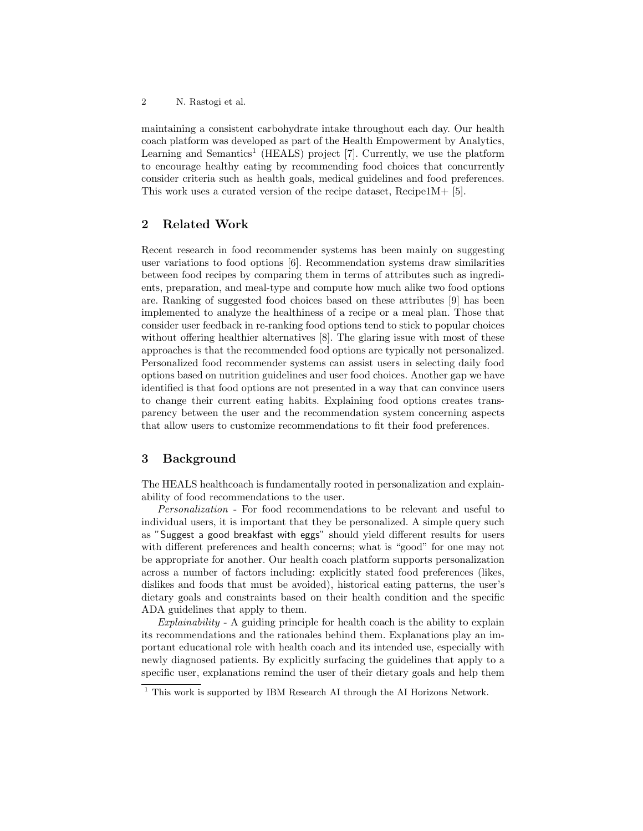2 N. Rastogi et al.

maintaining a consistent carbohydrate intake throughout each day. Our health coach platform was developed as part of the Health Empowerment by Analytics, Learning and Semantics<sup>1</sup> (HEALS) project [7]. Currently, we use the platform to encourage healthy eating by recommending food choices that concurrently consider criteria such as health goals, medical guidelines and food preferences. This work uses a curated version of the recipe dataset, Recipe1M+ [5].

## 2 Related Work

Recent research in food recommender systems has been mainly on suggesting user variations to food options [6]. Recommendation systems draw similarities between food recipes by comparing them in terms of attributes such as ingredients, preparation, and meal-type and compute how much alike two food options are. Ranking of suggested food choices based on these attributes [9] has been implemented to analyze the healthiness of a recipe or a meal plan. Those that consider user feedback in re-ranking food options tend to stick to popular choices without offering healthier alternatives [8]. The glaring issue with most of these approaches is that the recommended food options are typically not personalized. Personalized food recommender systems can assist users in selecting daily food options based on nutrition guidelines and user food choices. Another gap we have identified is that food options are not presented in a way that can convince users to change their current eating habits. Explaining food options creates transparency between the user and the recommendation system concerning aspects that allow users to customize recommendations to fit their food preferences.

### 3 Background

The HEALS healthcoach is fundamentally rooted in personalization and explainability of food recommendations to the user.

Personalization - For food recommendations to be relevant and useful to individual users, it is important that they be personalized. A simple query such as "Suggest a good breakfast with eggs" should yield different results for users with different preferences and health concerns; what is "good" for one may not be appropriate for another. Our health coach platform supports personalization across a number of factors including: explicitly stated food preferences (likes, dislikes and foods that must be avoided), historical eating patterns, the user's dietary goals and constraints based on their health condition and the specific ADA guidelines that apply to them.

Explainability - A guiding principle for health coach is the ability to explain its recommendations and the rationales behind them. Explanations play an important educational role with health coach and its intended use, especially with newly diagnosed patients. By explicitly surfacing the guidelines that apply to a specific user, explanations remind the user of their dietary goals and help them

<sup>&</sup>lt;sup>1</sup> This work is supported by IBM Research AI through the AI Horizons Network.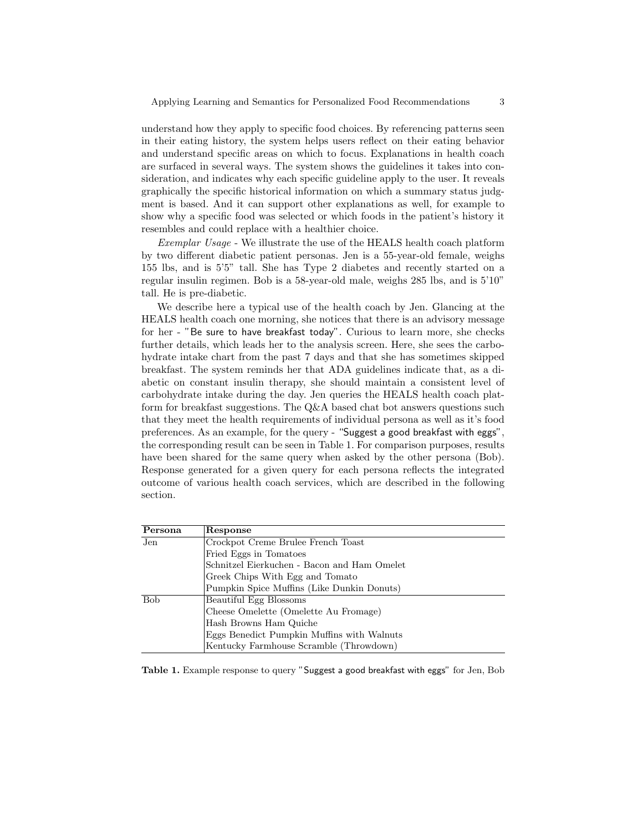understand how they apply to specific food choices. By referencing patterns seen in their eating history, the system helps users reflect on their eating behavior and understand specific areas on which to focus. Explanations in health coach are surfaced in several ways. The system shows the guidelines it takes into consideration, and indicates why each specific guideline apply to the user. It reveals graphically the specific historical information on which a summary status judgment is based. And it can support other explanations as well, for example to show why a specific food was selected or which foods in the patient's history it resembles and could replace with a healthier choice.

Exemplar Usage - We illustrate the use of the HEALS health coach platform by two different diabetic patient personas. Jen is a 55-year-old female, weighs 155 lbs, and is 5'5" tall. She has Type 2 diabetes and recently started on a regular insulin regimen. Bob is a 58-year-old male, weighs 285 lbs, and is 5'10" tall. He is pre-diabetic.

We describe here a typical use of the health coach by Jen. Glancing at the HEALS health coach one morning, she notices that there is an advisory message for her - "Be sure to have breakfast today". Curious to learn more, she checks further details, which leads her to the analysis screen. Here, she sees the carbohydrate intake chart from the past 7 days and that she has sometimes skipped breakfast. The system reminds her that ADA guidelines indicate that, as a diabetic on constant insulin therapy, she should maintain a consistent level of carbohydrate intake during the day. Jen queries the HEALS health coach platform for breakfast suggestions. The Q&A based chat bot answers questions such that they meet the health requirements of individual persona as well as it's food preferences. As an example, for the query - "Suggest a good breakfast with eggs", the corresponding result can be seen in Table 1. For comparison purposes, results have been shared for the same query when asked by the other persona (Bob). Response generated for a given query for each persona reflects the integrated outcome of various health coach services, which are described in the following section.

| Persona    | Response                                    |
|------------|---------------------------------------------|
| Jen        | Crockpot Creme Brulee French Toast          |
|            | Fried Eggs in Tomatoes                      |
|            | Schnitzel Eierkuchen - Bacon and Ham Omelet |
|            | Greek Chips With Egg and Tomato             |
|            | Pumpkin Spice Muffins (Like Dunkin Donuts)  |
| <b>Bob</b> | Beautiful Egg Blossoms                      |
|            | Cheese Omelette (Omelette Au Fromage)       |
|            | Hash Browns Ham Quiche                      |
|            | Eggs Benedict Pumpkin Muffins with Walnuts  |
|            | Kentucky Farmhouse Scramble (Throwdown)     |

Table 1. Example response to query "Suggest a good breakfast with eggs" for Jen, Bob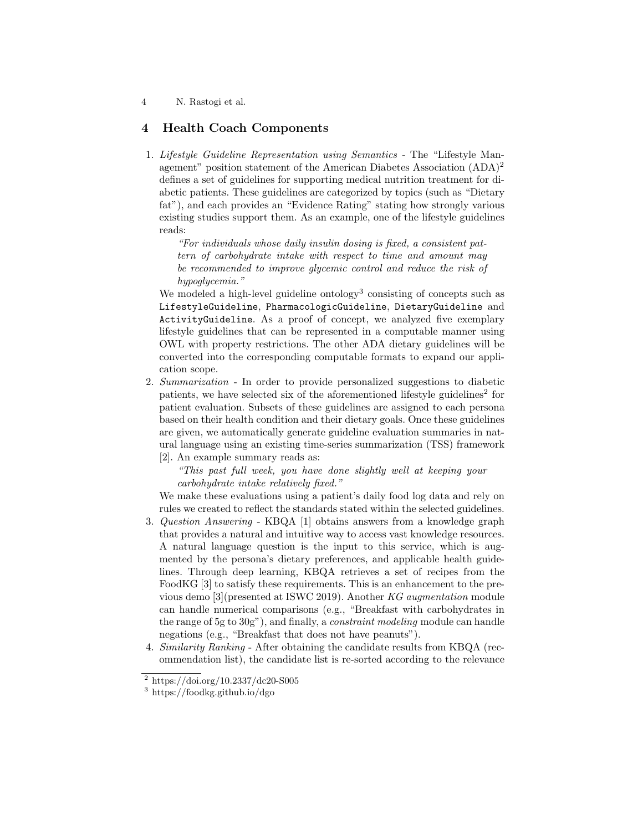4 N. Rastogi et al.

### 4 Health Coach Components

1. Lifestyle Guideline Representation using Semantics - The "Lifestyle Management" position statement of the American Diabetes Association (ADA)<sup>2</sup> defines a set of guidelines for supporting medical nutrition treatment for diabetic patients. These guidelines are categorized by topics (such as "Dietary fat"), and each provides an "Evidence Rating" stating how strongly various existing studies support them. As an example, one of the lifestyle guidelines reads:

"For individuals whose daily insulin dosing is fixed, a consistent pattern of carbohydrate intake with respect to time and amount may be recommended to improve glycemic control and reduce the risk of hypoglycemia."

We modeled a high-level guideline ontology<sup>3</sup> consisting of concepts such as LifestyleGuideline, PharmacologicGuideline, DietaryGuideline and ActivityGuideline. As a proof of concept, we analyzed five exemplary lifestyle guidelines that can be represented in a computable manner using OWL with property restrictions. The other ADA dietary guidelines will be converted into the corresponding computable formats to expand our application scope.

2. Summarization - In order to provide personalized suggestions to diabetic patients, we have selected six of the aforementioned lifestyle guidelines<sup>2</sup> for patient evaluation. Subsets of these guidelines are assigned to each persona based on their health condition and their dietary goals. Once these guidelines are given, we automatically generate guideline evaluation summaries in natural language using an existing time-series summarization (TSS) framework [2]. An example summary reads as:

"This past full week, you have done slightly well at keeping your carbohydrate intake relatively fixed."

We make these evaluations using a patient's daily food log data and rely on rules we created to reflect the standards stated within the selected guidelines.

- 3. Question Answering KBQA [1] obtains answers from a knowledge graph that provides a natural and intuitive way to access vast knowledge resources. A natural language question is the input to this service, which is augmented by the persona's dietary preferences, and applicable health guidelines. Through deep learning, KBQA retrieves a set of recipes from the FoodKG [3] to satisfy these requirements. This is an enhancement to the previous demo [3](presented at ISWC 2019). Another KG augmentation module can handle numerical comparisons (e.g., "Breakfast with carbohydrates in the range of 5g to 30g"), and finally, a constraint modeling module can handle negations (e.g., "Breakfast that does not have peanuts").
- 4. Similarity Ranking After obtaining the candidate results from KBQA (recommendation list), the candidate list is re-sorted according to the relevance

 $^{2}$  https://doi.org/10.2337/dc20-S005

<sup>3</sup> https://foodkg.github.io/dgo